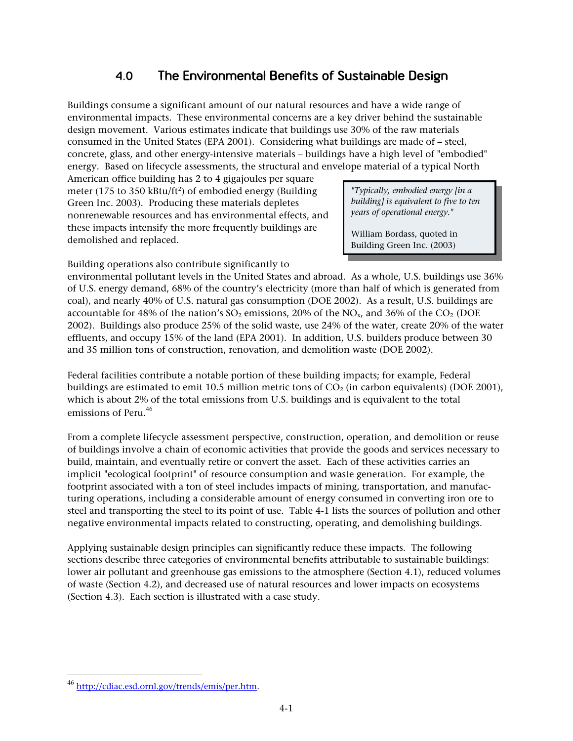### **The Environmental Benefits of Sustainable Design**   $4.0$

Buildings consume a significant amount of our natural resources and have a wide range of environmental impacts. These environmental concerns are a key driver behind the sustainable design movement. Various estimates indicate that buildings use 30% of the raw materials consumed in the United States (EPA 2001). Considering what buildings are made of – steel, concrete, glass, and other energy-intensive materials – buildings have a high level of "embodied" energy. Based on lifecycle assessments, the structural and envelope material of a typical North

American office building has 2 to 4 gigajoules per square meter  $(175 \text{ to } 350 \text{ kHz/ft}^2)$  of embodied energy (Building Green Inc. 2003). Producing these materials depletes nonrenewable resources and has environmental effects, and these impacts intensify the more frequently buildings are demolished and replaced.

*"Typically, embodied energy [in a building] is equivalent to five to ten years of operational energy."* 

William Bordass, quoted in Building Green Inc. (2003)

Building operations also contribute significantly to

environmental pollutant levels in the United States and abroad. As a whole, U.S. buildings use 36% of U.S. energy demand, 68% of the country's electricity (more than half of which is generated from coal), and nearly 40% of U.S. natural gas consumption (DOE 2002). As a result, U.S. buildings are accountable for 48% of the nation's  $SO_2$  emissions, 20% of the  $NO_x$ , and 36% of the  $CO_2$  (DOE 2002). Buildings also produce 25% of the solid waste, use 24% of the water, create 20% of the water effluents, and occupy 15% of the land (EPA 2001). In addition, U.S. builders produce between 30 and 35 million tons of construction, renovation, and demolition waste (DOE 2002).

Federal facilities contribute a notable portion of these building impacts; for example, Federal buildings are estimated to emit 10.5 million metric tons of  $\text{CO}_2$  (in carbon equivalents) (DOE 2001), which is about 2% of the total emissions from U.S. buildings and is equivalent to the total emissions of Peru.<sup>46</sup>

From a complete lifecycle assessment perspective, construction, operation, and demolition or reuse of buildings involve a chain of economic activities that provide the goods and services necessary to build, maintain, and eventually retire or convert the asset. Each of these activities carries an implicit "ecological footprint" of resource consumption and waste generation. For example, the footprint associated with a ton of steel includes impacts of mining, transportation, and manufac turing operations, including a considerable amount of energy consumed in converting iron ore to steel and transporting the steel to its point of use. Table 4-1 lists the sources of pollution and other negative environmental impacts related to constructing, operating, and demolishing buildings.

Applying sustainable design principles can significantly reduce these impacts. The following sections describe three categories of environmental benefits attributable to sustainable buildings: lower air pollutant and greenhouse gas emissions to the atmosphere (Section 4.1), reduced volumes of waste (Section 4.2), and decreased use of natural resources and lower impacts on ecosystems (Section 4.3). Each section is illustrated with a case study.

<sup>&</sup>lt;sup>46</sup> [http://cdiac.esd.ornl.gov/trends/emis/per.htm.](http://cdiac.esd.ornl.gov/trends/emis/per.htm)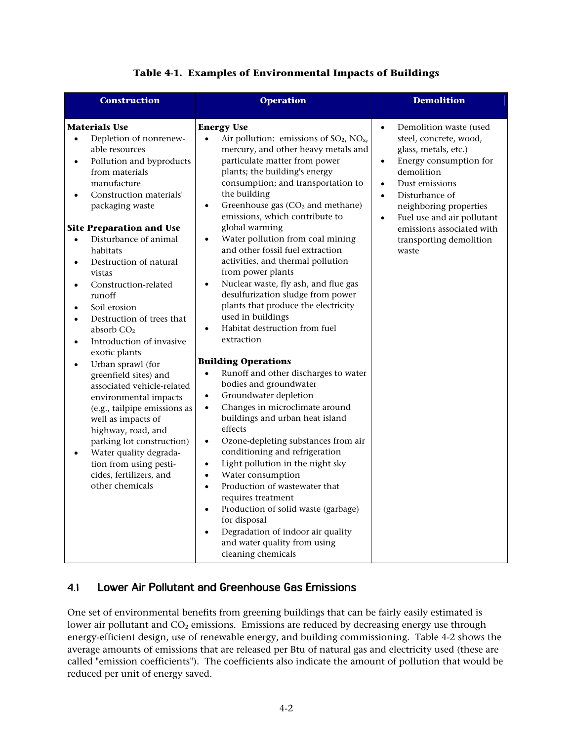| <b>Construction</b>                                                                                                                                                                                                                                                                                                                                                                                                                                                                                                                                                                                                 | <b>Operation</b>                                                                                                                                                                                                                                                                                                                                                                                                                                                                                                                                                                                                                                                                                                                                                                                                    | <b>Demolition</b>                                                                                                                                                                                                                                                                                                                              |
|---------------------------------------------------------------------------------------------------------------------------------------------------------------------------------------------------------------------------------------------------------------------------------------------------------------------------------------------------------------------------------------------------------------------------------------------------------------------------------------------------------------------------------------------------------------------------------------------------------------------|---------------------------------------------------------------------------------------------------------------------------------------------------------------------------------------------------------------------------------------------------------------------------------------------------------------------------------------------------------------------------------------------------------------------------------------------------------------------------------------------------------------------------------------------------------------------------------------------------------------------------------------------------------------------------------------------------------------------------------------------------------------------------------------------------------------------|------------------------------------------------------------------------------------------------------------------------------------------------------------------------------------------------------------------------------------------------------------------------------------------------------------------------------------------------|
| <b>Materials Use</b><br>Depletion of nonrenew-<br>$\bullet$<br>able resources<br>Pollution and byproducts<br>$\bullet$<br>from materials<br>manufacture<br>Construction materials'<br>$\bullet$<br>packaging waste<br><b>Site Preparation and Use</b><br>Disturbance of animal<br>$\bullet$<br>habitats<br>Destruction of natural<br>$\bullet$<br>vistas<br>Construction-related<br>$\bullet$<br>runoff<br>Soil erosion<br>$\bullet$<br>Destruction of trees that<br>$\bullet$<br>absorb $CO2$<br>Introduction of invasive<br>$\bullet$<br>exotic plants<br>Urban sprawl (for<br>$\bullet$<br>greenfield sites) and | <b>Energy Use</b><br>Air pollution: emissions of $SO_2$ , $NO_x$ ,<br>$\bullet$<br>mercury, and other heavy metals and<br>particulate matter from power<br>plants; the building's energy<br>consumption; and transportation to<br>the building<br>Greenhouse gas (CO <sub>2</sub> and methane)<br>$\bullet$<br>emissions, which contribute to<br>global warming<br>Water pollution from coal mining<br>$\bullet$<br>and other fossil fuel extraction<br>activities, and thermal pollution<br>from power plants<br>Nuclear waste, fly ash, and flue gas<br>$\bullet$<br>desulfurization sludge from power<br>plants that produce the electricity<br>used in buildings<br>Habitat destruction from fuel<br>$\bullet$<br>extraction<br><b>Building Operations</b><br>Runoff and other discharges to water<br>$\bullet$ | Demolition waste (used<br>$\bullet$<br>steel, concrete, wood,<br>glass, metals, etc.)<br>Energy consumption for<br>$\bullet$<br>demolition<br>Dust emissions<br>$\bullet$<br>Disturbance of<br>$\bullet$<br>neighboring properties<br>Fuel use and air pollutant<br>$\bullet$<br>emissions associated with<br>transporting demolition<br>waste |
| associated vehicle-related<br>environmental impacts<br>(e.g., tailpipe emissions as<br>well as impacts of<br>highway, road, and<br>parking lot construction)<br>Water quality degrada-<br>$\bullet$<br>tion from using pesti-<br>cides, fertilizers, and<br>other chemicals                                                                                                                                                                                                                                                                                                                                         | bodies and groundwater<br>Groundwater depletion<br>$\bullet$<br>Changes in microclimate around<br>$\bullet$<br>buildings and urban heat island<br>effects<br>Ozone-depleting substances from air<br>$\bullet$<br>conditioning and refrigeration<br>Light pollution in the night sky<br>$\bullet$<br>Water consumption<br>$\bullet$<br>Production of wastewater that<br>$\bullet$<br>requires treatment<br>Production of solid waste (garbage)<br>$\bullet$<br>for disposal<br>Degradation of indoor air quality<br>$\bullet$<br>and water quality from using<br>cleaning chemicals                                                                                                                                                                                                                                  |                                                                                                                                                                                                                                                                                                                                                |

### **Table 4-1. Examples of Environmental Impacts of Buildings**

#### **Lower Air Pollutant and Greenhouse Gas Emissions**   $4.1$

One set of environmental benefits from greening buildings that can be fairly easily estimated is lower air pollutant and CO<sub>2</sub> emissions. Emissions are reduced by decreasing energy use through energy-efficient design, use of renewable energy, and building commissioning. Table 4-2 shows the average amounts of emissions that are released per Btu of natural gas and electricity used (these are called "emission coefficients"). The coefficients also indicate the amount of pollution that would be reduced per unit of energy saved.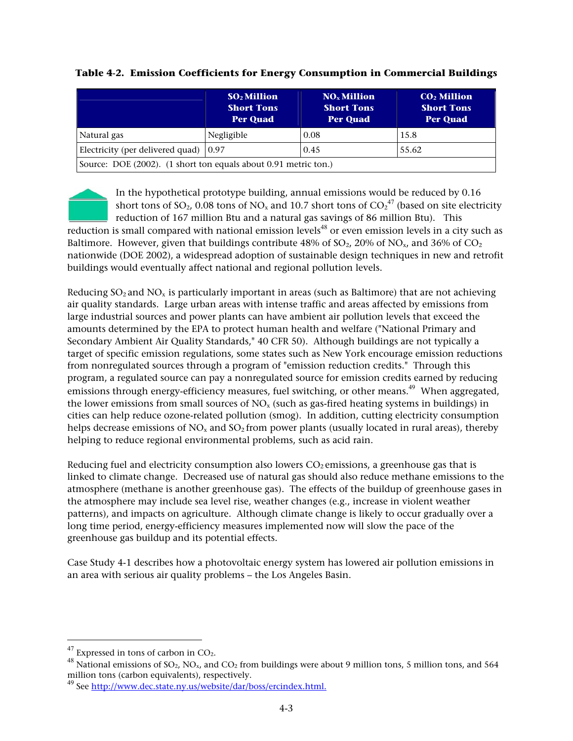|                                                                 | <b>SO<sub>2</sub></b> Million<br><b>Short Tons</b><br><b>Per Quad</b> | $NOx$ Million<br><b>Short Tons</b><br><b>Per Quad</b> | $CO2$ Million<br><b>Short Tons</b><br><b>Per Quad</b> |  |  |
|-----------------------------------------------------------------|-----------------------------------------------------------------------|-------------------------------------------------------|-------------------------------------------------------|--|--|
| Natural gas                                                     | Negligible                                                            | 0.08                                                  | 15.8                                                  |  |  |
| Electricity (per delivered quad) $(0.97)$                       |                                                                       | 0.45                                                  | 55.62                                                 |  |  |
| Source: DOE (2002). (1 short ton equals about 0.91 metric ton.) |                                                                       |                                                       |                                                       |  |  |

### **Table 4-2. Emission Coefficients for Energy Consumption in Commercial Buildings**

In the hypothetical prototype building, annual emissions would be reduced by 0.16 short tons of SO<sub>2</sub>, 0.08 tons of NO<sub>x</sub> and 10.7 short tons of CO<sub>2</sub><sup>47</sup> (based on site electricity reduction of 167 million Btu and a natural gas savings of 86 million Btu). This

reduction is small compared with national emission levels<sup>48</sup> or even emission levels in a city such as Baltimore. However, given that buildings contribute 48% of  $SO_2$ , 20% of  $NO_x$ , and 36% of  $CO_2$ nationwide (DOE 2002), a widespread adoption of sustainable design techniques in new and retrofit buildings would eventually affect national and regional pollution levels.

Reducing  $SO_2$  and  $NO_x$  is particularly important in areas (such as Baltimore) that are not achieving air quality standards. Large urban areas with intense traffic and areas affected by emissions from large industrial sources and power plants can have ambient air pollution levels that exceed the amounts determined by the EPA to protect human health and welfare ("National Primary and Secondary Ambient Air Quality Standards," 40 CFR 50). Although buildings are not typically a target of specific emission regulations, some states such as New York encourage emission reductions from nonregulated sources through a program of "emission reduction credits." Through this program, a regulated source can pay a nonregulated source for emission credits earned by reducing emissions through energy-efficiency measures, fuel switching, or other means.<sup>49</sup> When aggregated, the lower emissions from small sources of  $NO<sub>x</sub>$  (such as gas-fired heating systems in buildings) in cities can help reduce ozone-related pollution (smog). In addition, cutting electricity consumption helps decrease emissions of  $NO<sub>x</sub>$  and  $SO<sub>2</sub>$  from power plants (usually located in rural areas), thereby helping to reduce regional environmental problems, such as acid rain.

Reducing fuel and electricity consumption also lowers  $CO<sub>2</sub>$  emissions, a greenhouse gas that is linked to climate change. Decreased use of natural gas should also reduce methane emissions to the atmosphere (methane is another greenhouse gas). The effects of the buildup of greenhouse gases in the atmosphere may include sea level rise, weather changes (e.g., increase in violent weather patterns), and impacts on agriculture. Although climate change is likely to occur gradually over a long time period, energy-efficiency measures implemented now will slow the pace of the greenhouse gas buildup and its potential effects.

Case Study 4-1 describes how a photovoltaic energy system has lowered air pollution emissions in an area with serious air quality problems – the Los Angeles Basin.

<sup>&</sup>lt;sup>47</sup> Expressed in tons of carbon in CO<sub>2</sub>.<br><sup>48</sup> National emissions of SO<sub>2</sub>, NO<sub>x</sub>, and CO<sub>2</sub> from buildings were about 9 million tons, 5 million tons, and 564 million tons (carbon equivalents), respectively.

<sup>49</sup> See [http://www.dec.state.ny.us/website/dar/boss/ercindex.html.](http://www.dec.state.ny.us/website/dar/boss/ercindex.html)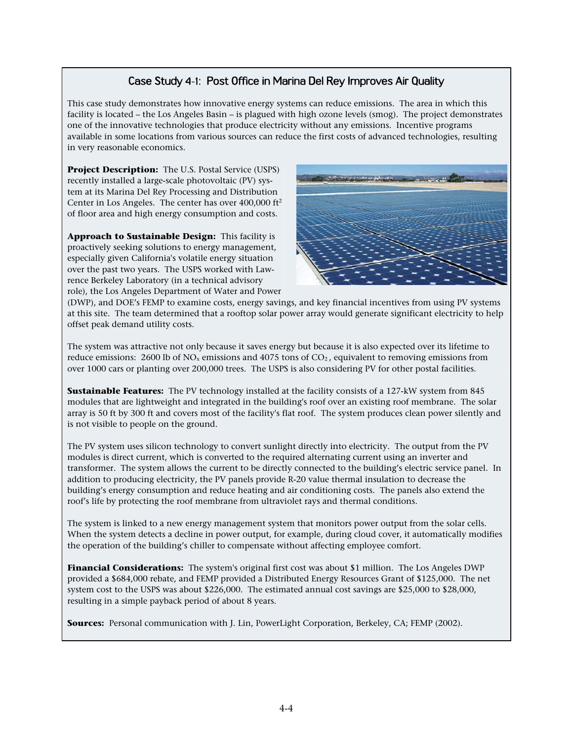## Case Study 4-1: Post Office in Marina Del Rey Improves Air Quality

This case study demonstrates how innovative energy systems can reduce emissions. The area in which this facility is located – the Los Angeles Basin – is plagued with high ozone levels (smog). The project demonstrates one of the innovative technologies that produce electricity without any emissions. Incentive programs available in some locations from various sources can reduce the first costs of advanced technologies, resulting in very reasonable economics.

**Project Description:** The U.S. Postal Service (USPS) recently installed a large-scale photovoltaic (PV) sys tem at its Marina Del Rey Processing and Distribution Center in Los Angeles. The center has over  $400,000$  ft<sup>2</sup> of floor area and high energy consumption and costs.

**Approach to Sustainable Design:** This facility is proactively seeking solutions to energy management, especially given California's volatile energy situation over the past two years. The USPS worked with Law rence Berkeley Laboratory (in a technical advisory role), the Los Angeles Department of Water and Power



(DWP), and DOE's FEMP to examine costs, energy savings, and key financial incentives from using PV systems at this site. The team determined that a rooftop solar power array would generate significant electricity to help offset peak demand utility costs.

The system was attractive not only because it saves energy but because it is also expected over its lifetime to reduce emissions: 2600 lb of  $NO<sub>x</sub>$  emissions and 4075 tons of  $CO<sub>2</sub>$ , equivalent to removing emissions from over 1000 cars or planting over 200,000 trees. The USPS is also considering PV for other postal facilities.

**Sustainable Features:** The PV technology installed at the facility consists of a 127-kW system from 845 modules that are lightweight and integrated in the building's roof over an existing roof membrane. The solar array is 50 ft by 300 ft and covers most of the facility's flat roof. The system produces clean power silently and is not visible to people on the ground.

The PV system uses silicon technology to convert sunlight directly into electricity. The output from the PV modules is direct current, which is converted to the required alternating current using an inverter and transformer. The system allows the current to be directly connected to the building's electric service panel. In addition to producing electricity, the PV panels provide R-20 value thermal insulation to decrease the building's energy consumption and reduce heating and air conditioning costs. The panels also extend the roof's life by protecting the roof membrane from ultraviolet rays and thermal conditions.

The system is linked to a new energy management system that monitors power output from the solar cells. When the system detects a decline in power output, for example, during cloud cover, it automatically modifies the operation of the building's chiller to compensate without affecting employee comfort.

**Financial Considerations:** The system's original first cost was about \$1 million. The Los Angeles DWP provided a \$684,000 rebate, and FEMP provided a Distributed Energy Resources Grant of \$125,000. The net system cost to the USPS was about \$226,000. The estimated annual cost savings are \$25,000 to \$28,000, resulting in a simple payback period of about 8 years.

**Sources:** Personal communication with J. Lin, PowerLight Corporation, Berkeley, CA; FEMP (2002).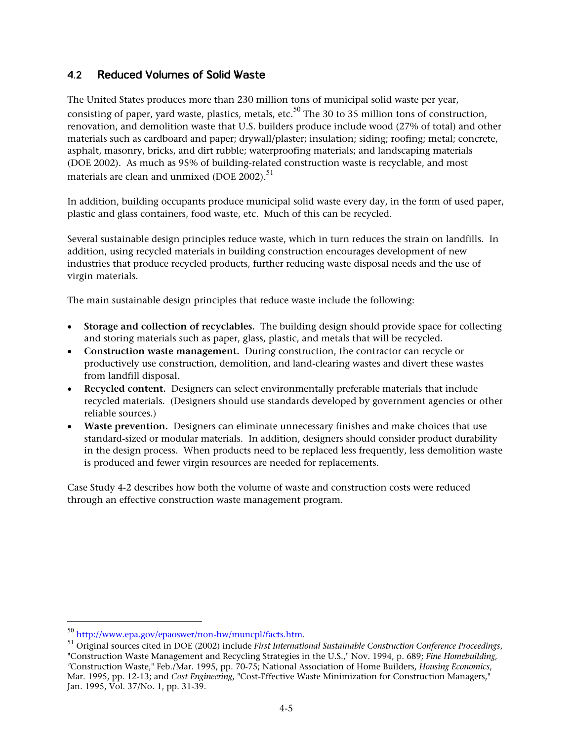#### $4.2$ **Reduced Volumes of Solid Waste**

The United States produces more than 230 million tons of municipal solid waste per year, consisting of paper, yard waste, plastics, metals, etc. $^{50}$  The 30 to 35 million tons of construction, renovation, and demolition waste that U.S. builders produce include wood (27% of total) and other materials such as cardboard and paper; drywall/plaster; insulation; siding; roofing; metal; concrete, asphalt, masonry, bricks, and dirt rubble; waterproofing materials; and landscaping materials (DOE 2002). As much as 95% of building-related construction waste is recyclable, and most materials are clean and unmixed (DOE 2002).<sup>51</sup>

In addition, building occupants produce municipal solid waste every day, in the form of used paper, plastic and glass containers, food waste, etc. Much of this can be recycled.

Several sustainable design principles reduce waste, which in turn reduces the strain on landfills. In addition, using recycled materials in building construction encourages development of new industries that produce recycled products, further reducing waste disposal needs and the use of virgin materials.

The main sustainable design principles that reduce waste include the following:

- **Storage and collection of recyclables.** The building design should provide space for collecting and storing materials such as paper, glass, plastic, and metals that will be recycled.
- **Construction waste management.** During construction, the contractor can recycle or productively use construction, demolition, and land-clearing wastes and divert these wastes from landfill disposal.
- **Recycled content.** Designers can select environmentally preferable materials that include recycled materials. (Designers should use standards developed by government agencies or other reliable sources.)
- **Waste prevention.** Designers can eliminate unnecessary finishes and make choices that use standard-sized or modular materials. In addition, designers should consider product durability in the design process. When products need to be replaced less frequently, less demolition waste is produced and fewer virgin resources are needed for replacements.

Case Study 4-2 describes how both the volume of waste and construction costs were reduced through an effective construction waste management program.

<sup>50</sup>[http://www.epa.gov/epaoswer/non-hw/muncpl/facts.htm.](http://www.epa.gov/epaoswer/non-hw/muncpl/facts.htm) 51 Original sources cited in DOE (2002) include *First International Sustainable Construction Conference Proceedings*, "Construction Waste Management and Recycling Strategies in the U.S.," Nov. 1994, p. 689; *Fine Homebuilding, "*Construction Waste," Feb./Mar. 1995, pp. 70-75; National Association of Home Builders, *Housing Economics*, Mar. 1995, pp. 12-13; and *Cost Engineering*, "Cost-Effective Waste Minimization for Construction Managers," Jan. 1995, Vol. 37/No. 1, pp. 31-39.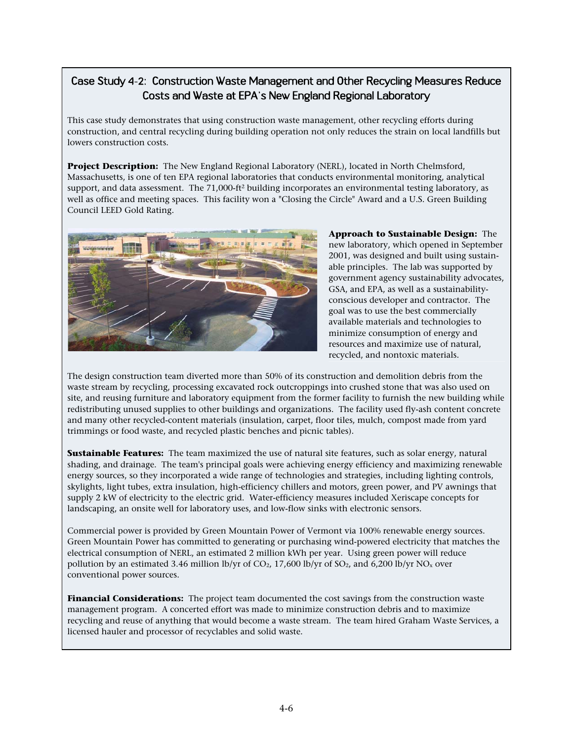# Case Study 4-2: Construction Waste Management and Other Recycling Measures Reduce Costs and Waste at EPA's New England Regional Laboratory

This case study demonstrates that using construction waste management, other recycling efforts during construction, and central recycling during building operation not only reduces the strain on local landfills but lowers construction costs.

**Project Description:** The New England Regional Laboratory (NERL), located in North Chelmsford, Massachusetts, is one of ten EPA regional laboratories that conducts environmental monitoring, analytical support, and data assessment. The 71,000-ft<sup>2</sup> building incorporates an environmental testing laboratory, as well as office and meeting spaces. This facility won a "Closing the Circle" Award and a U.S. Green Building Council LEED Gold Rating.



**Approach to Sustainable Design:** The new laboratory, which opened in September 2001, was designed and built using sustainable principles. The lab was supported by government agency sustainability advocates, GSA, and EPA, as well as a sustainabilityconscious developer and contractor. The goal was to use the best commercially available materials and technologies to minimize consumption of energy and resources and maximize use of natural, recycled, and nontoxic materials.

The design construction team diverted more than 50% of its construction and demolition debris from the waste stream by recycling, processing excavated rock outcroppings into crushed stone that was also used on site, and reusing furniture and laboratory equipment from the former facility to furnish the new building while redistributing unused supplies to other buildings and organizations. The facility used fly-ash content concrete and many other recycled-content materials (insulation, carpet, floor tiles, mulch, compost made from yard trimmings or food waste, and recycled plastic benches and picnic tables).

**Sustainable Features:** The team maximized the use of natural site features, such as solar energy, natural shading, and drainage. The team's principal goals were achieving energy efficiency and maximizing renewable energy sources, so they incorporated a wide range of technologies and strategies, including lighting controls, skylights, light tubes, extra insulation, high-efficiency chillers and motors, green power, and PV awnings that supply 2 kW of electricity to the electric grid. Water-efficiency measures included Xeriscape concepts for landscaping, an onsite well for laboratory uses, and low-flow sinks with electronic sensors.

Commercial power is provided by Green Mountain Power of Vermont via 100% renewable energy sources. Green Mountain Power has committed to generating or purchasing wind-powered electricity that matches the electrical consumption of NERL, an estimated 2 million kWh per year. Using green power will reduce pollution by an estimated 3.46 million lb/yr of  $CO<sub>2</sub>$ , 17,600 lb/yr of  $SO<sub>2</sub>$ , and 6,200 lb/yr  $NO<sub>x</sub>$  over conventional power sources.

**Financial Considerations:** The project team documented the cost savings from the construction waste management program. A concerted effort was made to minimize construction debris and to maximize recycling and reuse of anything that would become a waste stream. The team hired Graham Waste Services, a licensed hauler and processor of recyclables and solid waste.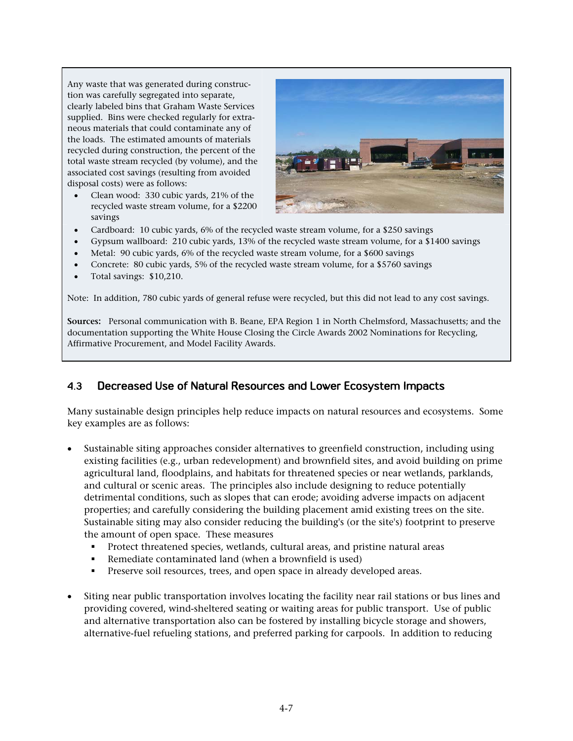Any waste that was generated during construction was carefully segregated into separate, clearly labeled bins that Graham Waste Services supplied. Bins were checked regularly for extraneous materials that could contaminate any of the loads. The estimated amounts of materials recycled during construction, the percent of the total waste stream recycled (by volume), and the associated cost savings (resulting from avoided disposal costs) were as follows:

• Clean wood: 330 cubic yards, 21% of the recycled waste stream volume, for a \$2200 savings



- Cardboard: 10 cubic yards, 6% of the recycled waste stream volume, for a \$250 savings
- Gypsum wallboard: 210 cubic yards, 13% of the recycled waste stream volume, for a \$1400 savings
- Metal: 90 cubic yards, 6% of the recycled waste stream volume, for a \$600 savings
- Concrete: 80 cubic yards, 5% of the recycled waste stream volume, for a \$5760 savings
- Total savings: \$10,210.

Note: In addition, 780 cubic yards of general refuse were recycled, but this did not lead to any cost savings.

**Sources:** Personal communication with B. Beane, EPA Region 1 in North Chelmsford, Massachusetts; and the documentation supporting the White House Closing the Circle Awards 2002 Nominations for Recycling, Affirmative Procurement, and Model Facility Awards.

#### $4.3$ **Decreased Use of Natural Resources and Lower Ecosystem Impacts**

Many sustainable design principles help reduce impacts on natural resources and ecosystems. Some key examples are as follows:

- Sustainable siting approaches consider alternatives to greenfield construction, including using existing facilities (e.g., urban redevelopment) and brownfield sites, and avoid building on prime agricultural land, floodplains, and habitats for threatened species or near wetlands, parklands, and cultural or scenic areas. The principles also include designing to reduce potentially detrimental conditions, such as slopes that can erode; avoiding adverse impacts on adjacent properties; and carefully considering the building placement amid existing trees on the site. Sustainable siting may also consider reducing the building's (or the site's) footprint to preserve the amount of open space. These measures
	- Protect threatened species, wetlands, cultural areas, and pristine natural areas
	- Remediate contaminated land (when a brownfield is used)
	- **Preserve soil resources, trees, and open space in already developed areas.**
- Siting near public transportation involves locating the facility near rail stations or bus lines and providing covered, wind-sheltered seating or waiting areas for public transport. Use of public and alternative transportation also can be fostered by installing bicycle storage and showers, alternative-fuel refueling stations, and preferred parking for carpools. In addition to reducing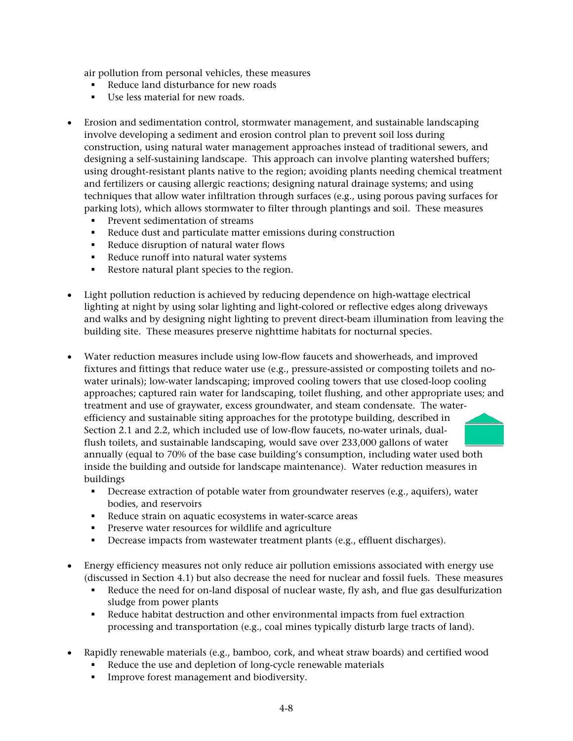air pollution from personal vehicles, these measures

- Reduce land disturbance for new roads
- Use less material for new roads.
- Erosion and sedimentation control, stormwater management, and sustainable landscaping involve developing a sediment and erosion control plan to prevent soil loss during construction, using natural water management approaches instead of traditional sewers, and designing a self-sustaining landscape. This approach can involve planting watershed buffers; using drought-resistant plants native to the region; avoiding plants needing chemical treatment and fertilizers or causing allergic reactions; designing natural drainage systems; and using techniques that allow water infiltration through surfaces (e.g., using porous paving surfaces for parking lots), which allows stormwater to filter through plantings and soil. These measures
	- Prevent sedimentation of streams
	- Reduce dust and particulate matter emissions during construction
	- Reduce disruption of natural water flows
	- Reduce runoff into natural water systems
	- Restore natural plant species to the region.
- Light pollution reduction is achieved by reducing dependence on high-wattage electrical lighting at night by using solar lighting and light-colored or reflective edges along driveways and walks and by designing night lighting to prevent direct-beam illumination from leaving the building site. These measures preserve nighttime habitats for nocturnal species.
- Water reduction measures include using low-flow faucets and showerheads, and improved fixtures and fittings that reduce water use (e.g., pressure-assisted or composting toilets and nowater urinals); low-water landscaping; improved cooling towers that use closed-loop cooling approaches; captured rain water for landscaping, toilet flushing, and other appropriate uses; and treatment and use of graywater, excess groundwater, and steam condensate. The waterefficiency and sustainable siting approaches for the prototype building, described in Section 2.1 and 2.2, which included use of low-flow faucets, no-water urinals, dualflush toilets, and sustainable landscaping, would save over 233,000 gallons of water annually (equal to 70% of the base case building's consumption, including water used both inside the building and outside for landscape maintenance). Water reduction measures in buildings
	- Decrease extraction of potable water from groundwater reserves (e.g., aquifers), water bodies, and reservoirs
	- Reduce strain on aquatic ecosystems in water-scarce areas
	- Preserve water resources for wildlife and agriculture
	- Decrease impacts from wastewater treatment plants (e.g., effluent discharges).
- Energy efficiency measures not only reduce air pollution emissions associated with energy use (discussed in Section 4.1) but also decrease the need for nuclear and fossil fuels. These measures
	- Reduce the need for on-land disposal of nuclear waste, fly ash, and flue gas desulfurization sludge from power plants
	- Reduce habitat destruction and other environmental impacts from fuel extraction processing and transportation (e.g., coal mines typically disturb large tracts of land).
- Rapidly renewable materials (e.g., bamboo, cork, and wheat straw boards) and certified wood
	- Reduce the use and depletion of long-cycle renewable materials
	- Improve forest management and biodiversity.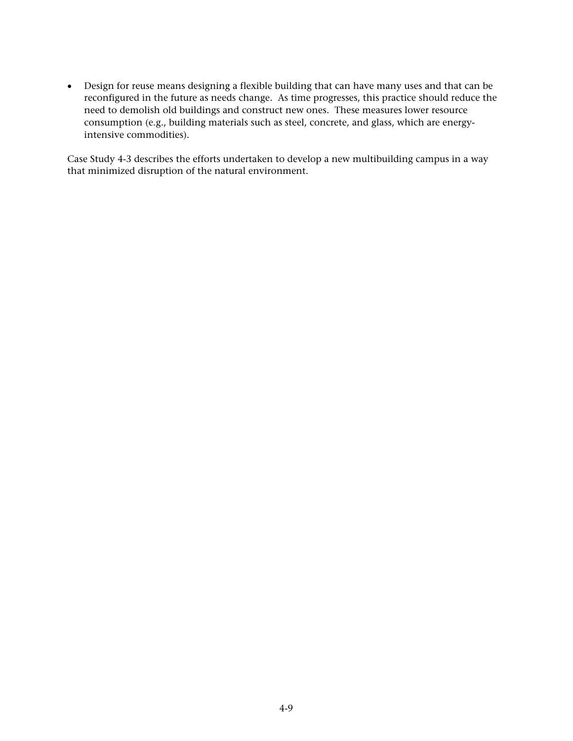• Design for reuse means designing a flexible building that can have many uses and that can be reconfigured in the future as needs change. As time progresses, this practice should reduce the need to demolish old buildings and construct new ones. These measures lower resource consumption (e.g., building materials such as steel, concrete, and glass, which are energyintensive commodities).

Case Study 4-3 describes the efforts undertaken to develop a new multibuilding campus in a way that minimized disruption of the natural environment.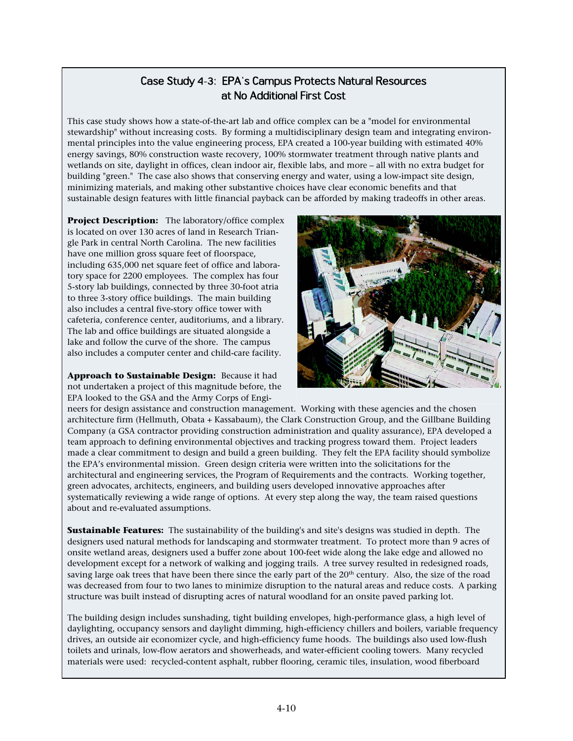## Case Study 4-3: EPA's Campus Protects Natural Resources at No Additional First Cost

This case study shows how a state-of-the-art lab and office complex can be a "model for environmental stewardship" without increasing costs. By forming a multidisciplinary design team and integrating environmental principles into the value engineering process, EPA created a 100-year building with estimated 40% energy savings, 80% construction waste recovery, 100% stormwater treatment through native plants and wetlands on site, daylight in offices, clean indoor air, flexible labs, and more – all with no extra budget for building "green." The case also shows that conserving energy and water, using a low-impact site design, minimizing materials, and making other substantive choices have clear economic benefits and that sustainable design features with little financial payback can be afforded by making tradeoffs in other areas.

**Project Description:** The laboratory/office complex is located on over 130 acres of land in Research Trian gle Park in central North Carolina. The new facilities have one million gross square feet of floorspace, including 635,000 net square feet of office and labora tory space for 2200 employees. The complex has four 5-story lab buildings, connected by three 30-foot atria to three 3-story office buildings. The main building also includes a central five-story office tower with cafeteria, conference center, auditoriums, and a library. The lab and office buildings are situated alongside a lake and follow the curve of the shore. The campus also includes a computer center and child-care facility.

**Approach to Sustainable Design:** Because it had not undertaken a project of this magnitude before, the EPA looked to the GSA and the Army Corps of Engi



neers for design assistance and construction management. Working with these agencies and the chosen architecture firm (Hellmuth, Obata + Kassabaum), the Clark Construction Group, and the Gillbane Building Company (a GSA contractor providing construction administration and quality assurance), EPA developed a team approach to defining environmental objectives and tracking progress toward them. Project leaders made a clear commitment to design and build a green building. They felt the EPA facility should symbolize the EPA's environmental mission. Green design criteria were written into the solicitations for the architectural and engineering services, the Program of Requirements and the contracts. Working together, green advocates, architects, engineers, and building users developed innovative approaches after systematically reviewing a wide range of options. At every step along the way, the team raised questions about and re-evaluated assumptions.

**Sustainable Features:** The sustainability of the building's and site's designs was studied in depth. The designers used natural methods for landscaping and stormwater treatment. To protect more than 9 acres of onsite wetland areas, designers used a buffer zone about 100-feet wide along the lake edge and allowed no development except for a network of walking and jogging trails. A tree survey resulted in redesigned roads, saving large oak trees that have been there since the early part of the 20<sup>th</sup> century. Also, the size of the road was decreased from four to two lanes to minimize disruption to the natural areas and reduce costs. A parking structure was built instead of disrupting acres of natural woodland for an onsite paved parking lot.

The building design includes sunshading, tight building envelopes, high-performance glass, a high level of daylighting, occupancy sensors and daylight dimming, high-efficiency chillers and boilers, variable frequency drives, an outside air economizer cycle, and high-efficiency fume hoods. The buildings also used low-flush toilets and urinals, low-flow aerators and showerheads, and water-efficient cooling towers. Many recycled materials were used: recycled-content asphalt, rubber flooring, ceramic tiles, insulation, wood fiberboard